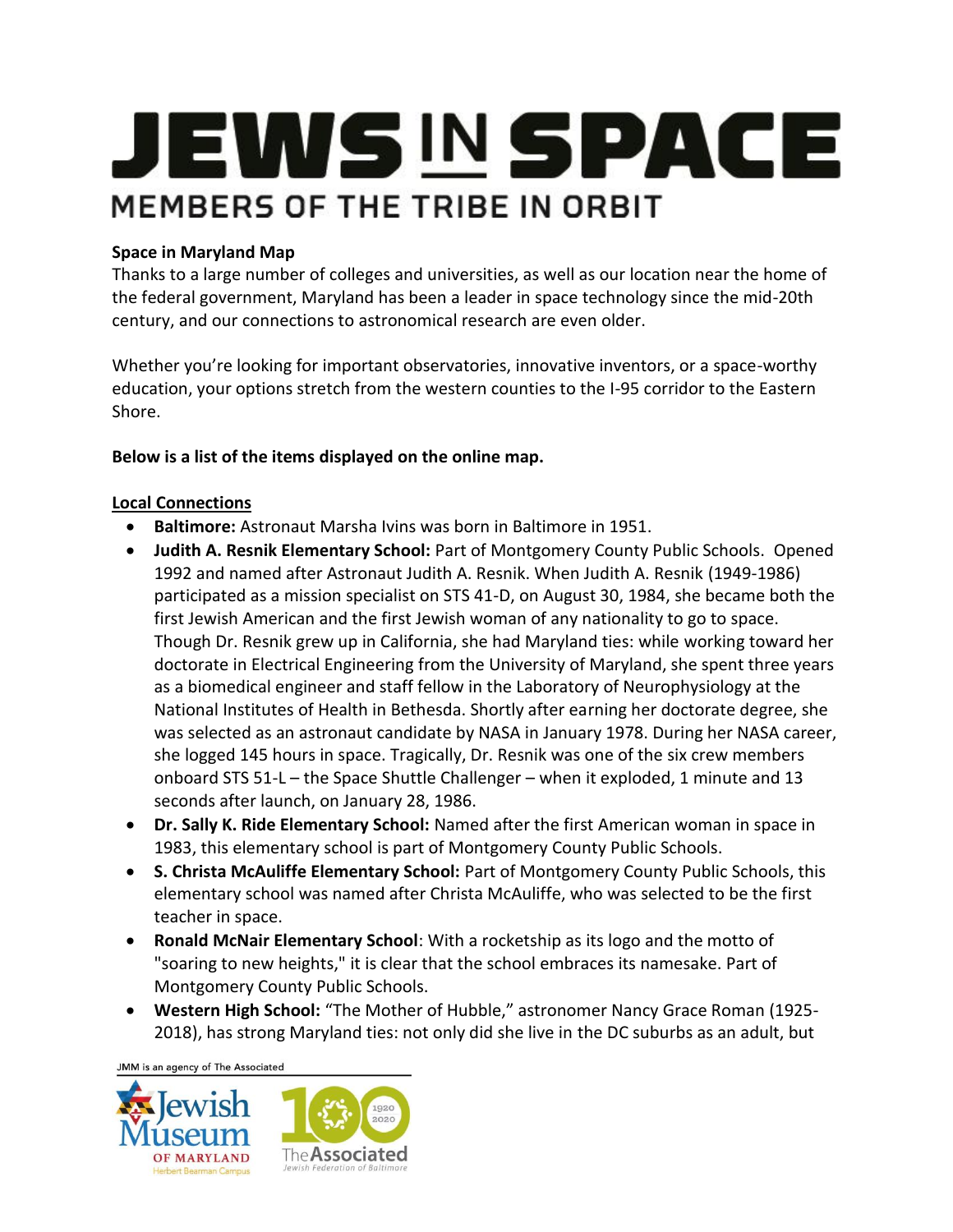# **JEWS IN SPACE** MEMBERS OF THE TRIBE IN ORBIT

### **Space in Maryland Map**

Thanks to a large number of colleges and universities, as well as our location near the home of the federal government, Maryland has been a leader in space technology since the mid-20th century, and our connections to astronomical research are even older.

Whether you're looking for important observatories, innovative inventors, or a space-worthy education, your options stretch from the western counties to the I-95 corridor to the Eastern Shore.

### **Below is a list of the items displayed on the online map.**

### **Local Connections**

- **Baltimore:** Astronaut Marsha Ivins was born in Baltimore in 1951.
- **Judith A. Resnik Elementary School:** Part of Montgomery County Public Schools. Opened 1992 and named after Astronaut Judith A. Resnik. When Judith A. Resnik (1949-1986) participated as a mission specialist on STS 41-D, on August 30, 1984, she became both the first Jewish American and the first Jewish woman of any nationality to go to space. Though Dr. Resnik grew up in California, she had Maryland ties: while working toward her doctorate in Electrical Engineering from the University of Maryland, she spent three years as a biomedical engineer and staff fellow in the Laboratory of Neurophysiology at the National Institutes of Health in Bethesda. Shortly after earning her doctorate degree, she was selected as an astronaut candidate by NASA in January 1978. During her NASA career, she logged 145 hours in space. Tragically, Dr. Resnik was one of the six crew members onboard STS 51-L – the Space Shuttle Challenger – when it exploded, 1 minute and 13 seconds after launch, on January 28, 1986.
- **Dr. Sally K. Ride Elementary School:** Named after the first American woman in space in 1983, this elementary school is part of Montgomery County Public Schools.
- **S. Christa McAuliffe Elementary School:** Part of Montgomery County Public Schools, this elementary school was named after Christa McAuliffe, who was selected to be the first teacher in space.
- **Ronald McNair Elementary School**: With a rocketship as its logo and the motto of "soaring to new heights," it is clear that the school embraces its namesake. Part of Montgomery County Public Schools.
- **Western High School:** "The Mother of Hubble," astronomer Nancy Grace Roman (1925- 2018), has strong Maryland ties: not only did she live in the DC suburbs as an adult, but

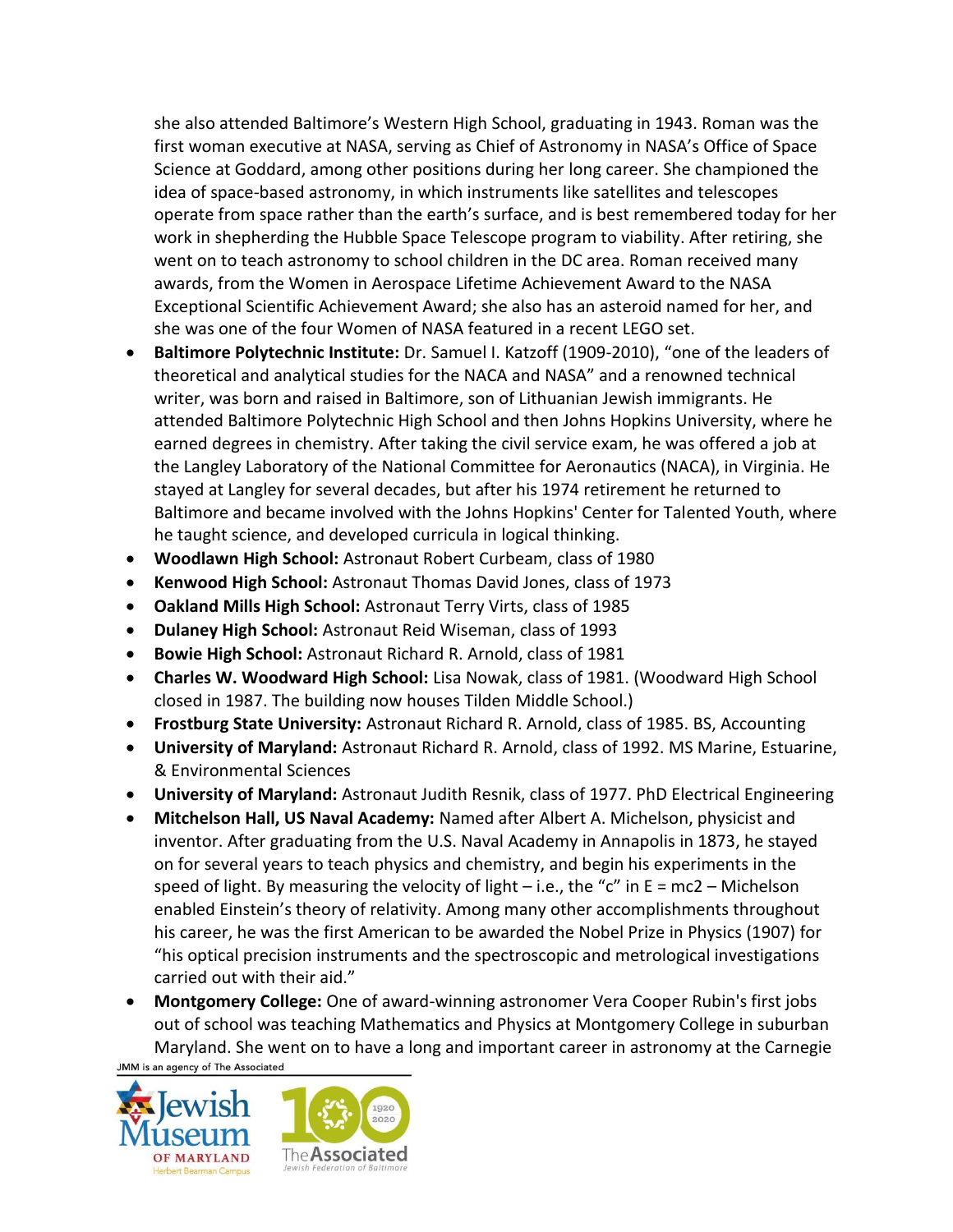she also attended Baltimore's Western High School, graduating in 1943. Roman was the first woman executive at NASA, serving as Chief of Astronomy in NASA's Office of Space Science at Goddard, among other positions during her long career. She championed the idea of space-based astronomy, in which instruments like satellites and telescopes operate from space rather than the earth's surface, and is best remembered today for her work in shepherding the Hubble Space Telescope program to viability. After retiring, she went on to teach astronomy to school children in the DC area. Roman received many awards, from the Women in Aerospace Lifetime Achievement Award to the NASA Exceptional Scientific Achievement Award; she also has an asteroid named for her, and she was one of the four Women of NASA featured in a recent LEGO set.

- **Baltimore Polytechnic Institute:** Dr. Samuel I. Katzoff (1909-2010), "one of the leaders of theoretical and analytical studies for the NACA and NASA" and a renowned technical writer, was born and raised in Baltimore, son of Lithuanian Jewish immigrants. He attended Baltimore Polytechnic High School and then Johns Hopkins University, where he earned degrees in chemistry. After taking the civil service exam, he was offered a job at the Langley Laboratory of the National Committee for Aeronautics (NACA), in Virginia. He stayed at Langley for several decades, but after his 1974 retirement he returned to Baltimore and became involved with the Johns Hopkins' Center for Talented Youth, where he taught science, and developed curricula in logical thinking.
- **Woodlawn High School:** Astronaut Robert Curbeam, class of 1980
- **Kenwood High School:** Astronaut Thomas David Jones, class of 1973
- **Oakland Mills High School:** Astronaut Terry Virts, class of 1985
- **Dulaney High School:** Astronaut Reid Wiseman, class of 1993
- **Bowie High School:** Astronaut Richard R. Arnold, class of 1981
- **Charles W. Woodward High School:** Lisa Nowak, class of 1981. (Woodward High School closed in 1987. The building now houses Tilden Middle School.)
- **Frostburg State University:** Astronaut Richard R. Arnold, class of 1985. BS, Accounting
- **University of Maryland:** Astronaut Richard R. Arnold, class of 1992. MS Marine, Estuarine, & Environmental Sciences
- **University of Maryland:** Astronaut Judith Resnik, class of 1977. PhD Electrical Engineering
- **Mitchelson Hall, US Naval Academy:** Named after Albert A. Michelson, physicist and inventor. After graduating from the U.S. Naval Academy in Annapolis in 1873, he stayed on for several years to teach physics and chemistry, and begin his experiments in the speed of light. By measuring the velocity of light – i.e., the "c" in  $E = mc2 - Michelson$ enabled Einstein's theory of relativity. Among many other accomplishments throughout his career, he was the first American to be awarded the Nobel Prize in Physics (1907) for "his optical precision instruments and the spectroscopic and metrological investigations carried out with their aid."
- **Montgomery College:** One of award-winning astronomer Vera Cooper Rubin's first jobs out of school was teaching Mathematics and Physics at Montgomery College in suburban Maryland. She went on to have a long and important career in astronomy at the Carnegie

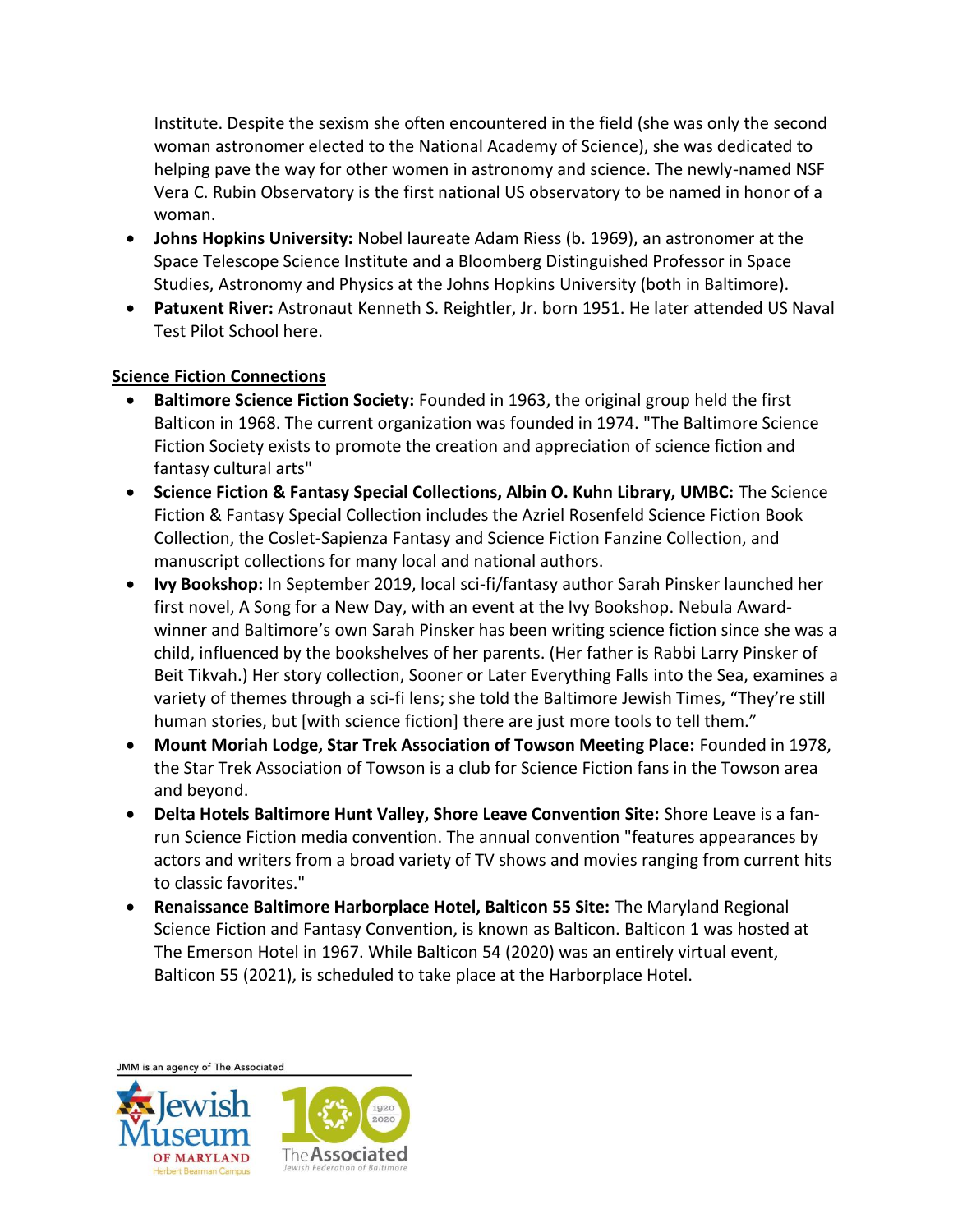Institute. Despite the sexism she often encountered in the field (she was only the second woman astronomer elected to the National Academy of Science), she was dedicated to helping pave the way for other women in astronomy and science. The newly-named NSF Vera C. Rubin Observatory is the first national US observatory to be named in honor of a woman.

- **Johns Hopkins University:** Nobel laureate Adam Riess (b. 1969), an astronomer at the Space Telescope Science Institute and a Bloomberg Distinguished Professor in Space Studies, Astronomy and Physics at the Johns Hopkins University (both in Baltimore).
- **Patuxent River:** Astronaut Kenneth S. Reightler, Jr. born 1951. He later attended US Naval Test Pilot School here.

### **Science Fiction Connections**

- **Baltimore Science Fiction Society:** Founded in 1963, the original group held the first Balticon in 1968. The current organization was founded in 1974. "The Baltimore Science Fiction Society exists to promote the creation and appreciation of science fiction and fantasy cultural arts"
- **Science Fiction & Fantasy Special Collections, Albin O. Kuhn Library, UMBC:** The Science Fiction & Fantasy Special Collection includes the Azriel Rosenfeld Science Fiction Book Collection, the Coslet-Sapienza Fantasy and Science Fiction Fanzine Collection, and manuscript collections for many local and national authors.
- **Ivy Bookshop:** In September 2019, local sci-fi/fantasy author Sarah Pinsker launched her first novel, A Song for a New Day, with an event at the Ivy Bookshop. Nebula Awardwinner and Baltimore's own Sarah Pinsker has been writing science fiction since she was a child, influenced by the bookshelves of her parents. (Her father is Rabbi Larry Pinsker of Beit Tikvah.) Her story collection, Sooner or Later Everything Falls into the Sea, examines a variety of themes through a sci-fi lens; she told the Baltimore Jewish Times, "They're still human stories, but [with science fiction] there are just more tools to tell them."
- **Mount Moriah Lodge, Star Trek Association of Towson Meeting Place:** Founded in 1978, the Star Trek Association of Towson is a club for Science Fiction fans in the Towson area and beyond.
- **Delta Hotels Baltimore Hunt Valley, Shore Leave Convention Site:** Shore Leave is a fanrun Science Fiction media convention. The annual convention "features appearances by actors and writers from a broad variety of TV shows and movies ranging from current hits to classic favorites."
- **Renaissance Baltimore Harborplace Hotel, Balticon 55 Site:** The Maryland Regional Science Fiction and Fantasy Convention, is known as Balticon. Balticon 1 was hosted at The Emerson Hotel in 1967. While Balticon 54 (2020) was an entirely virtual event, Balticon 55 (2021), is scheduled to take place at the Harborplace Hotel.

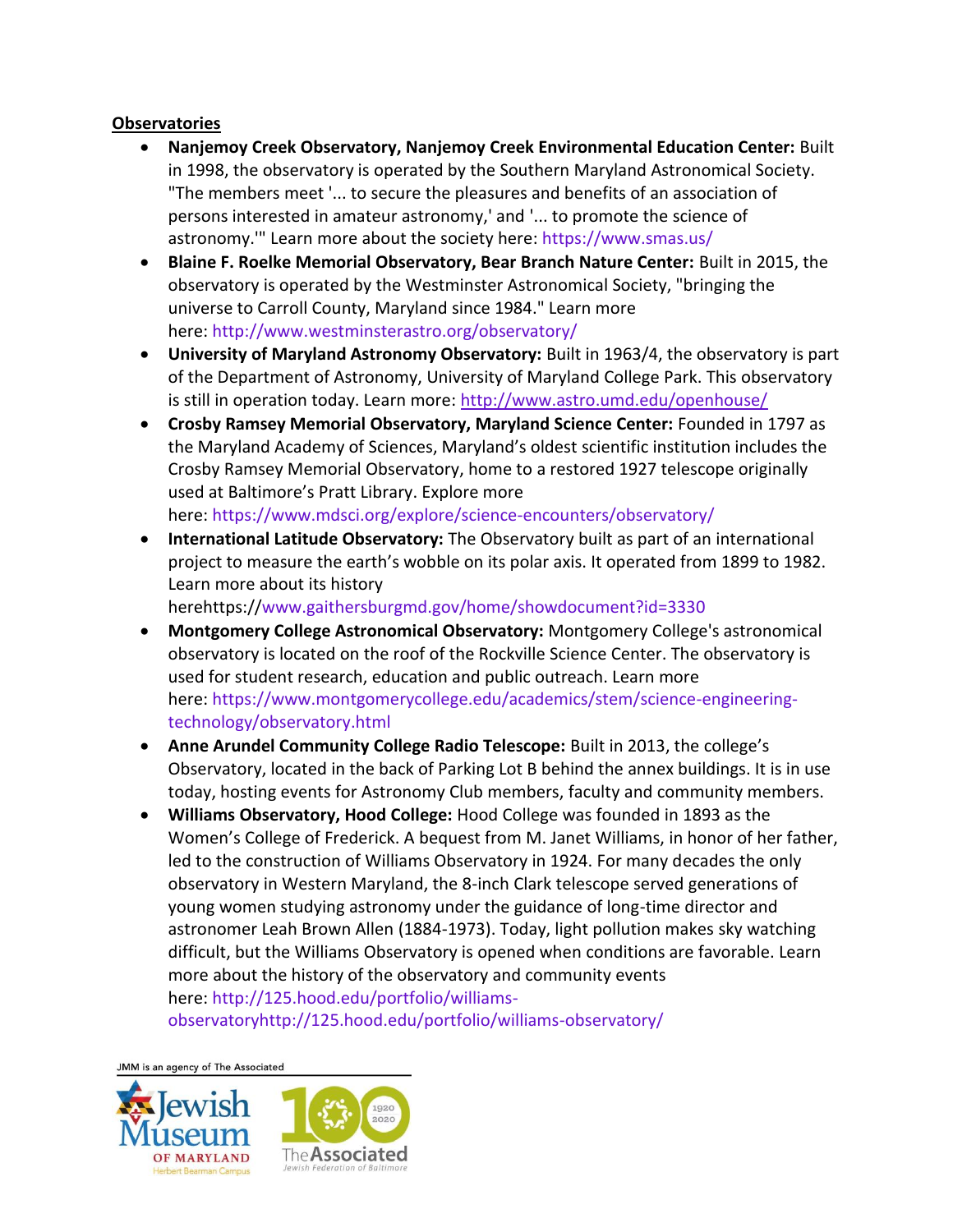#### **Observatories**

- **Nanjemoy Creek Observatory, Nanjemoy Creek Environmental Education Center:** Built in 1998, the observatory is operated by the Southern Maryland Astronomical Society. "The members meet '... to secure the pleasures and benefits of an association of persons interested in amateur astronomy,' and '... to promote the science of astronomy.'" Learn more about the society here: <https://www.smas.us/>
- **Blaine F. Roelke Memorial Observatory, Bear Branch Nature Center:** Built in 2015, the observatory is operated by the Westminster Astronomical Society, "bringing the universe to Carroll County, Maryland since 1984." Learn more here: <http://www.westminsterastro.org/observatory/>
- **University of Maryland Astronomy Observatory:** Built in 1963/4, the observatory is part of the Department of Astronomy, University of Maryland College Park. This observatory is still in operation today. Learn more: <http://www.astro.umd.edu/openhouse/>
- **Crosby Ramsey Memorial Observatory, Maryland Science Center:** Founded in 1797 as the Maryland Academy of Sciences, Maryland's oldest scientific institution includes the Crosby Ramsey Memorial Observatory, home to a restored 1927 telescope originally used at Baltimore's Pratt Library. Explore more here: <https://www.mdsci.org/explore/science-encounters/observatory/>
- **International Latitude Observatory:** The Observatory built as part of an international project to measure the earth's wobble on its polar axis. It operated from 1899 to 1982. Learn more about its history

herehttps:/[/www.gaithersburgmd.gov/home/showdocument?id=3330](http://www.gaithersburgmd.gov/home/showdocument?id=3330)

- **Montgomery College Astronomical Observatory:** Montgomery College's astronomical observatory is located on the roof of the Rockville Science Center. The observatory is used for student research, education and public outreach. Learn more here: [https://www.montgomerycollege.edu/academics/stem/science-engineering](https://www.montgomerycollege.edu/academics/stem/science-engineering-technology/observatory.html)[technology/observatory.html](https://www.montgomerycollege.edu/academics/stem/science-engineering-technology/observatory.html)
- **Anne Arundel Community College Radio Telescope:** Built in 2013, the college's Observatory, located in the back of Parking Lot B behind the annex buildings. It is in use today, hosting events for Astronomy Club members, faculty and community members.
- **Williams Observatory, Hood College:** Hood College was founded in 1893 as the Women's College of Frederick. A bequest from M. Janet Williams, in honor of her father, led to the construction of Williams Observatory in 1924. For many decades the only observatory in Western Maryland, the 8-inch Clark telescope served generations of young women studying astronomy under the guidance of long-time director and astronomer Leah Brown Allen (1884-1973). Today, light pollution makes sky watching difficult, but the Williams Observatory is opened when conditions are favorable. Learn more about the history of the observatory and community events here: [http://125.hood.edu/portfolio/williams-](http://125.hood.edu/portfolio/williams-observatoryhttp:/125.hood.edu/portfolio/williams-observatory/)

[observatoryhttp://125.hood.edu/portfolio/williams-observatory/](http://125.hood.edu/portfolio/williams-observatoryhttp:/125.hood.edu/portfolio/williams-observatory/)

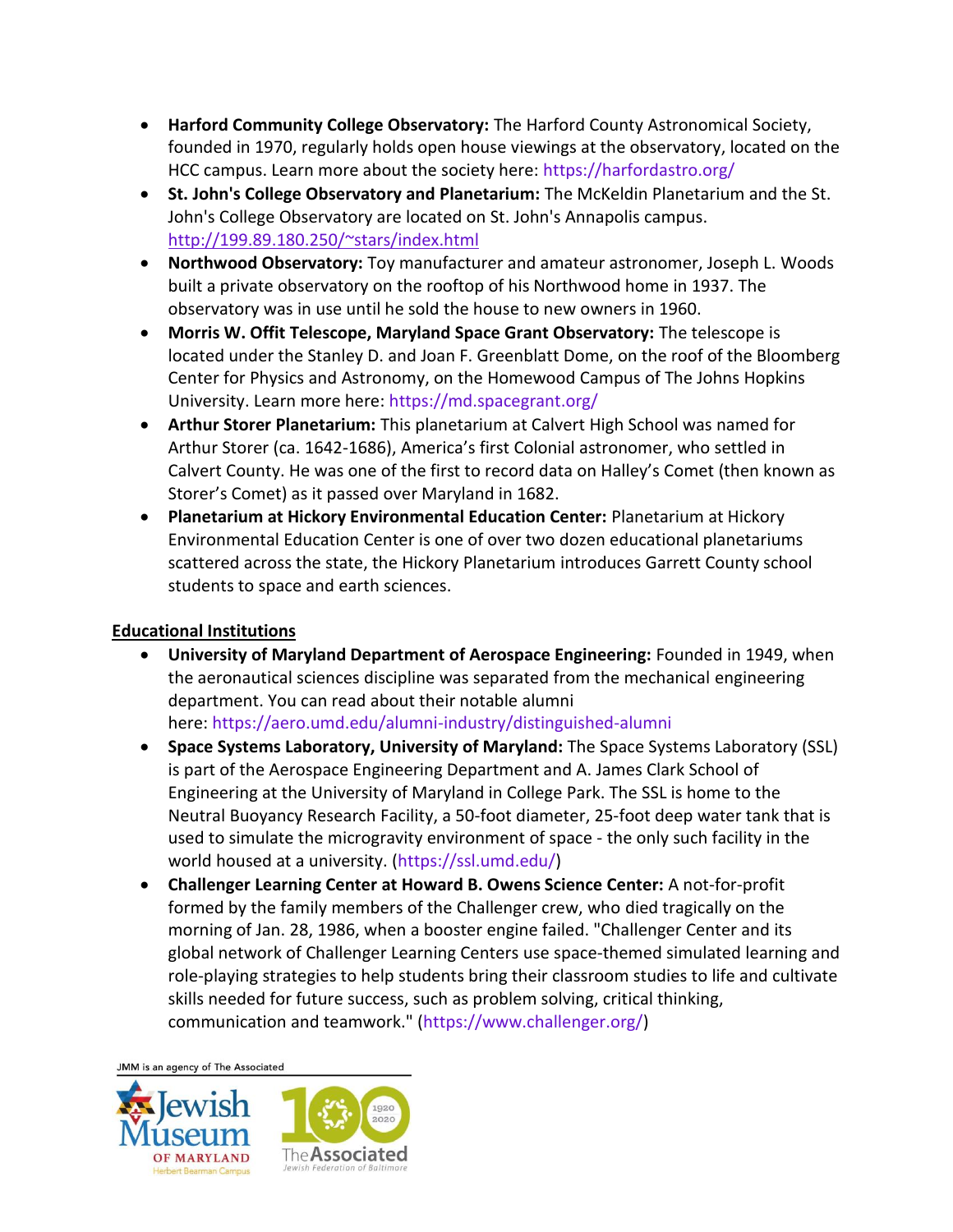- **Harford Community College Observatory:** The Harford County Astronomical Society, founded in 1970, regularly holds open house viewings at the observatory, located on the HCC campus. Learn more about the society here: <https://harfordastro.org/>
- **St. John's College Observatory and Planetarium:** The McKeldin Planetarium and the St. John's College Observatory are located on St. John's Annapolis campus. <http://199.89.180.250/~stars/index.html>
- **Northwood Observatory:** Toy manufacturer and amateur astronomer, Joseph L. Woods built a private observatory on the rooftop of his Northwood home in 1937. The observatory was in use until he sold the house to new owners in 1960.
- **Morris W. Offit Telescope, Maryland Space Grant Observatory:** The telescope is located under the Stanley D. and Joan F. Greenblatt Dome, on the roof of the Bloomberg Center for Physics and Astronomy, on the Homewood Campus of The Johns Hopkins University. Learn more here: <https://md.spacegrant.org/>
- **Arthur Storer Planetarium:** This planetarium at Calvert High School was named for Arthur Storer (ca. 1642-1686), America's first Colonial astronomer, who settled in Calvert County. He was one of the first to record data on Halley's Comet (then known as Storer's Comet) as it passed over Maryland in 1682.
- **Planetarium at Hickory Environmental Education Center:** Planetarium at Hickory Environmental Education Center is one of over two dozen educational planetariums scattered across the state, the Hickory Planetarium introduces Garrett County school students to space and earth sciences.

## **Educational Institutions**

- **University of Maryland Department of Aerospace Engineering:** Founded in 1949, when the aeronautical sciences discipline was separated from the mechanical engineering department. You can read about their notable alumni here: <https://aero.umd.edu/alumni-industry/distinguished-alumni>
- **Space Systems Laboratory, University of Maryland:** The Space Systems Laboratory (SSL) is part of the Aerospace Engineering Department and A. James Clark School of Engineering at the University of Maryland in College Park. The SSL is home to the Neutral Buoyancy Research Facility, a 50-foot diameter, 25-foot deep water tank that is used to simulate the microgravity environment of space - the only such facility in the world housed at a university. [\(https://ssl.umd.edu/\)](https://ssl.umd.edu/)
- **Challenger Learning Center at Howard B. Owens Science Center:** A not-for-profit formed by the family members of the Challenger crew, who died tragically on the morning of Jan. 28, 1986, when a booster engine failed. "Challenger Center and its global network of Challenger Learning Centers use space-themed simulated learning and role-playing strategies to help students bring their classroom studies to life and cultivate skills needed for future success, such as problem solving, critical thinking, communication and teamwork." [\(https://www.challenger.org/\)](https://www.challenger.org/)

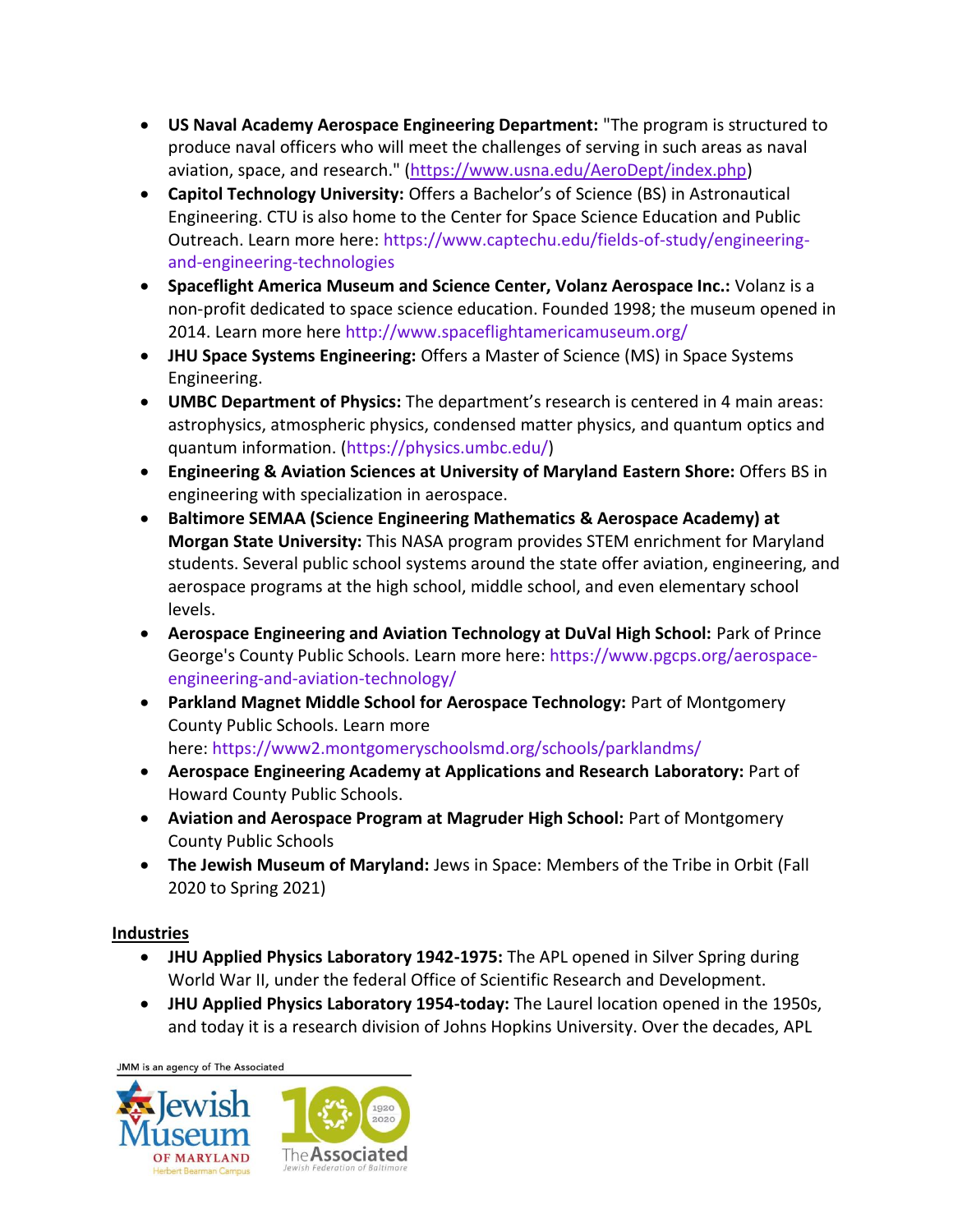- **US Naval Academy Aerospace Engineering Department:** "The program is structured to produce naval officers who will meet the challenges of serving in such areas as naval aviation, space, and research." [\(https://www.usna.edu/AeroDept/index.php\)](https://www.usna.edu/AeroDept/index.php)
- **Capitol Technology University:** Offers a Bachelor's of Science (BS) in Astronautical Engineering. CTU is also home to the Center for Space Science Education and Public Outreach. Learn more here: [https://www.captechu.edu/fields-of-study/engineering](https://www.captechu.edu/fields-of-study/engineering-and-engineering-technologies)[and-engineering-technologies](https://www.captechu.edu/fields-of-study/engineering-and-engineering-technologies)
- **Spaceflight America Museum and Science Center, Volanz Aerospace Inc.:** Volanz is a non-profit dedicated to space science education. Founded 1998; the museum opened in 2014. Learn more here <http://www.spaceflightamericamuseum.org/>
- **JHU Space Systems Engineering:** Offers a Master of Science (MS) in Space Systems Engineering.
- **UMBC Department of Physics:** The department's research is centered in 4 main areas: astrophysics, atmospheric physics, condensed matter physics, and quantum optics and quantum information. [\(https://physics.umbc.edu/\)](https://physics.umbc.edu/)
- **Engineering & Aviation Sciences at University of Maryland Eastern Shore:** Offers BS in engineering with specialization in aerospace.
- **Baltimore SEMAA (Science Engineering Mathematics & Aerospace Academy) at Morgan State University:** This NASA program provides STEM enrichment for Maryland students. Several public school systems around the state offer aviation, engineering, and aerospace programs at the high school, middle school, and even elementary school levels.
- **Aerospace Engineering and Aviation Technology at DuVal High School:** Park of Prince George's County Public Schools. Learn more here: [https://www.pgcps.org/aerospace](https://www.pgcps.org/aerospace-engineering-and-aviation-technology/)[engineering-and-aviation-technology/](https://www.pgcps.org/aerospace-engineering-and-aviation-technology/)
- **Parkland Magnet Middle School for Aerospace Technology:** Part of Montgomery County Public Schools. Learn more here: <https://www2.montgomeryschoolsmd.org/schools/parklandms/>
- **Aerospace Engineering Academy at Applications and Research Laboratory:** Part of Howard County Public Schools.
- **Aviation and Aerospace Program at Magruder High School:** Part of Montgomery County Public Schools
- **The Jewish Museum of Maryland:** Jews in Space: Members of the Tribe in Orbit (Fall 2020 to Spring 2021)

## **Industries**

- **JHU Applied Physics Laboratory 1942-1975:** The APL opened in Silver Spring during World War II, under the federal Office of Scientific Research and Development.
- **JHU Applied Physics Laboratory 1954-today:** The Laurel location opened in the 1950s, and today it is a research division of Johns Hopkins University. Over the decades, APL